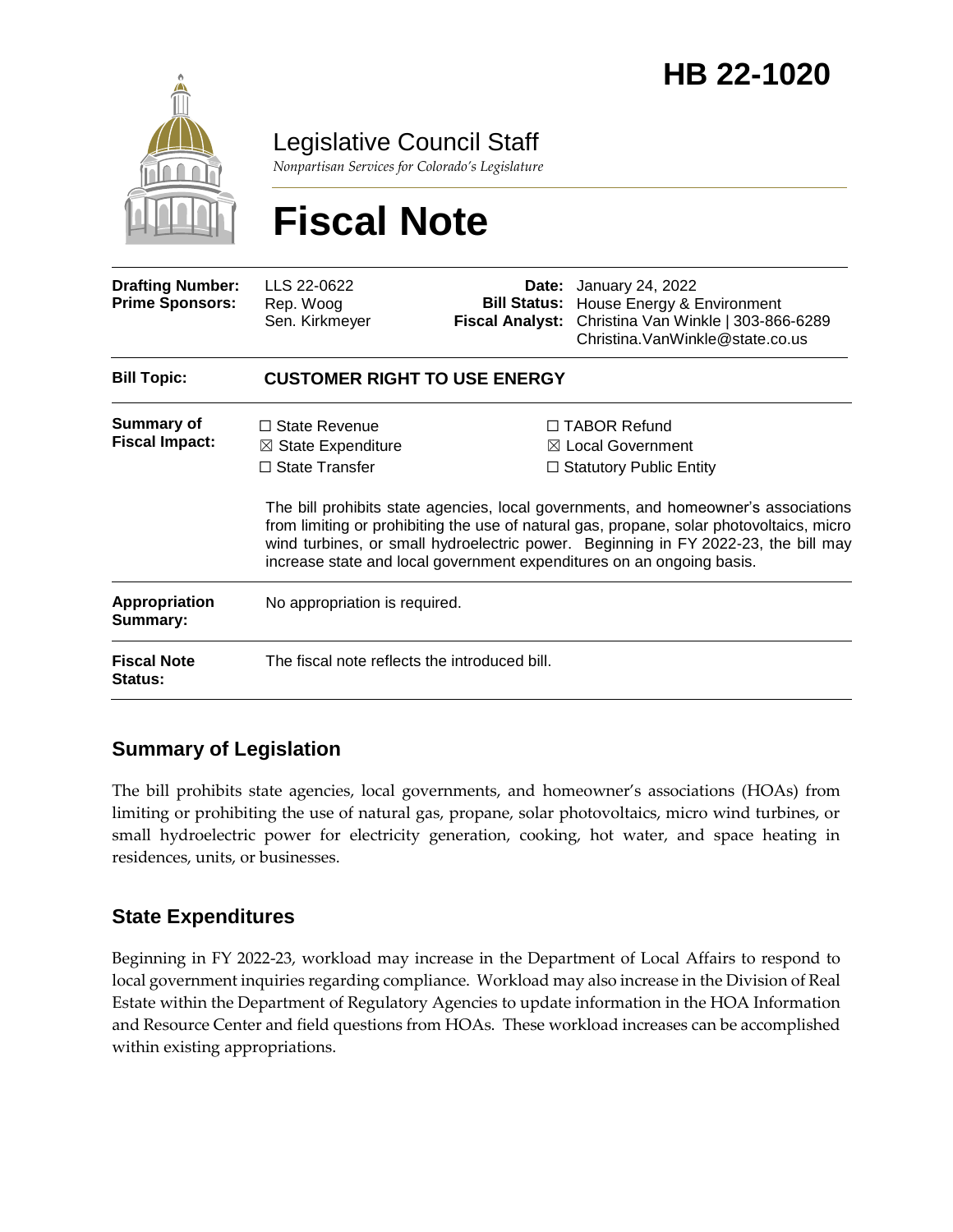

Legislative Council Staff

*Nonpartisan Services for Colorado's Legislature*

# **Fiscal Note**

| <b>Drafting Number:</b><br><b>Prime Sponsors:</b> | LLS 22-0622<br>Rep. Woog<br>Sen. Kirkmeyer                                     | Date:<br><b>Fiscal Analyst:</b>                                                                                                                                                                                                                                                                                                                                                                                                        | January 24, 2022<br><b>Bill Status:</b> House Energy & Environment<br>Christina Van Winkle   303-866-6289<br>Christina. VanWinkle@state.co.us |
|---------------------------------------------------|--------------------------------------------------------------------------------|----------------------------------------------------------------------------------------------------------------------------------------------------------------------------------------------------------------------------------------------------------------------------------------------------------------------------------------------------------------------------------------------------------------------------------------|-----------------------------------------------------------------------------------------------------------------------------------------------|
| <b>Bill Topic:</b>                                | <b>CUSTOMER RIGHT TO USE ENERGY</b>                                            |                                                                                                                                                                                                                                                                                                                                                                                                                                        |                                                                                                                                               |
| <b>Summary of</b><br><b>Fiscal Impact:</b>        | $\Box$ State Revenue<br>$\boxtimes$ State Expenditure<br>$\Box$ State Transfer | $\Box$ TABOR Refund<br>$\boxtimes$ Local Government<br>$\Box$ Statutory Public Entity<br>The bill prohibits state agencies, local governments, and homeowner's associations<br>from limiting or prohibiting the use of natural gas, propane, solar photovoltaics, micro<br>wind turbines, or small hydroelectric power. Beginning in FY 2022-23, the bill may<br>increase state and local government expenditures on an ongoing basis. |                                                                                                                                               |
| <b>Appropriation</b><br>Summary:                  | No appropriation is required.                                                  |                                                                                                                                                                                                                                                                                                                                                                                                                                        |                                                                                                                                               |
| <b>Fiscal Note</b><br>Status:                     | The fiscal note reflects the introduced bill.                                  |                                                                                                                                                                                                                                                                                                                                                                                                                                        |                                                                                                                                               |

## **Summary of Legislation**

The bill prohibits state agencies, local governments, and homeowner's associations (HOAs) from limiting or prohibiting the use of natural gas, propane, solar photovoltaics, micro wind turbines, or small hydroelectric power for electricity generation, cooking, hot water, and space heating in residences, units, or businesses.

## **State Expenditures**

Beginning in FY 2022-23, workload may increase in the Department of Local Affairs to respond to local government inquiries regarding compliance. Workload may also increase in the Division of Real Estate within the Department of Regulatory Agencies to update information in the HOA Information and Resource Center and field questions from HOAs. These workload increases can be accomplished within existing appropriations.